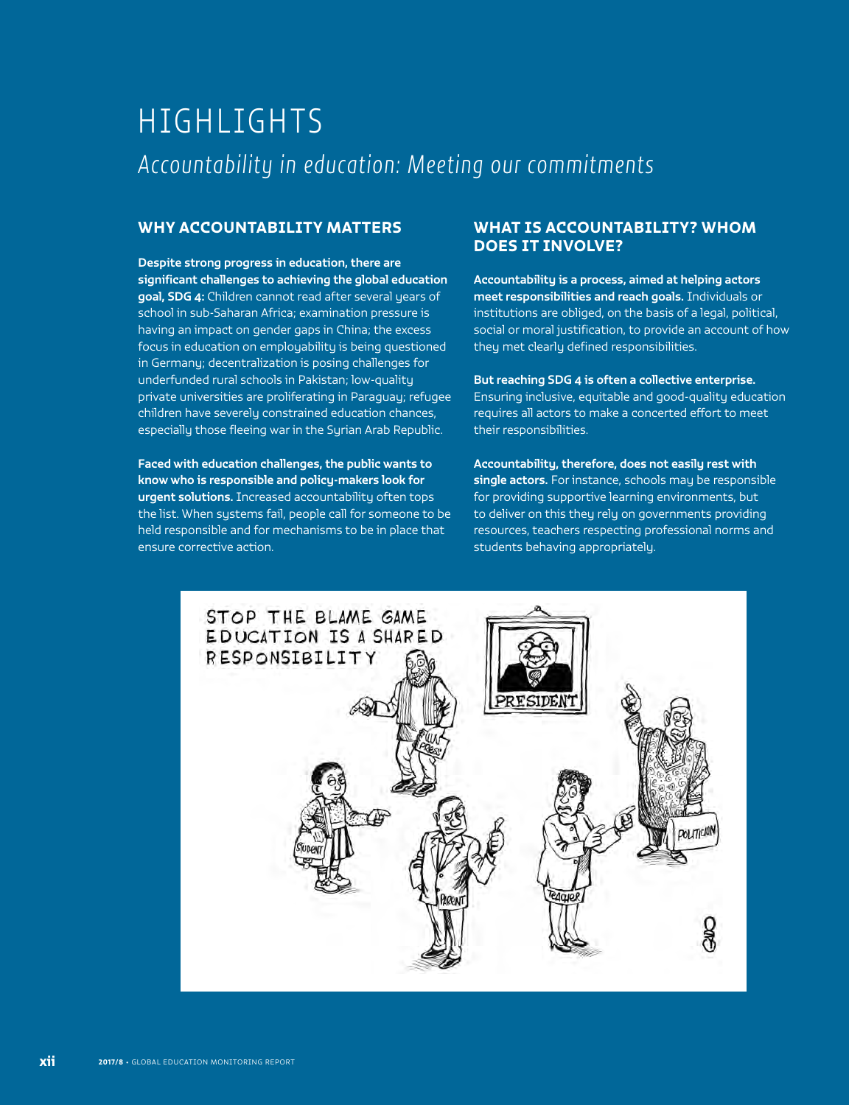# HIGHLIGHTS Accountability in education: Meeting our commitments

# WHY ACCOUNTABILITY MATTERS

Despite strong progress in education, there are significant challenges to achieving the global education goal, SDG 4: Children cannot read after several years of school in sub-Saharan Africa; examination pressure is having an impact on gender gaps in China; the excess focus in education on employability is being questioned in Germany; decentralization is posing challenges for underfunded rural schools in Pakistan; low-quality private universities are proliferating in Paraguay; refugee children have severely constrained education chances, especially those fleeing war in the Syrian Arab Republic.

Faced with education challenges, the public wants to know who is responsible and policy-makers look for urgent solutions. Increased accountability often tops the list. When systems fail, people call for someone to be held responsible and for mechanisms to be in place that ensure corrective action.

# WHAT IS ACCOUNTABILITY? WHOM DOES IT INVOLVE?

Accountability is a process, aimed at helping actors meet responsibilities and reach goals. Individuals or institutions are obliged, on the basis of a legal, political, social or moral justification, to provide an account of how they met clearly defined responsibilities.

But reaching SDG 4 is often a collective enterprise. Ensuring inclusive, equitable and good-quality education requires all actors to make a concerted effort to meet their responsibilities.

Accountability, therefore, does not easily rest with single actors. For instance, schools may be responsible for providing supportive learning environments, but to deliver on this they rely on governments providing resources, teachers respecting professional norms and students behaving appropriately.

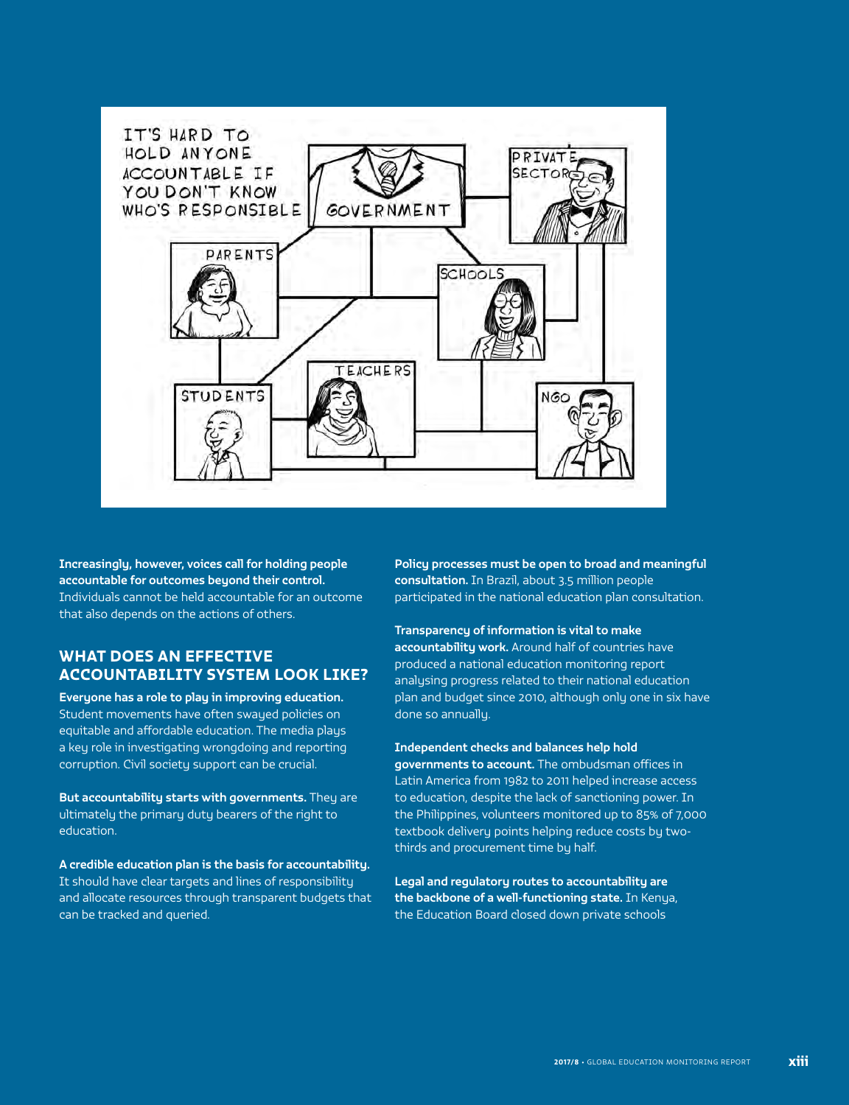

Increasingly, however, voices call for holding people accountable for outcomes beyond their control. Individuals cannot be held accountable for an outcome that also depends on the actions of others.

# WHAT DOES AN EFFECTIVE ACCOUNTABILITY SYSTEM LOOK LIKE?

Everyone has a role to play in improving education. Student movements have often swayed policies on equitable and affordable education. The media plays a key role in investigating wrongdoing and reporting corruption. Civil society support can be crucial.

But accountability starts with governments. They are ultimately the primary duty bearers of the right to education.

A credible education plan is the basis for accountability. It should have clear targets and lines of responsibility and allocate resources through transparent budgets that can be tracked and queried.

Policy processes must be open to broad and meaningful consultation. In Brazil, about 3.5 million people participated in the national education plan consultation.

Transparency of information is vital to make accountability work. Around half of countries have produced a national education monitoring report analysing progress related to their national education plan and budget since 2010, although only one in six have done so annually.

Independent checks and balances help hold governments to account. The ombudsman offices in Latin America from 1982 to 2011 helped increase access to education, despite the lack of sanctioning power. In the Philippines, volunteers monitored up to 85% of 7,000 textbook delivery points helping reduce costs by twothirds and procurement time by half.

Legal and regulatory routes to accountability are the backbone of a well-functioning state. In Kenya, the Education Board closed down private schools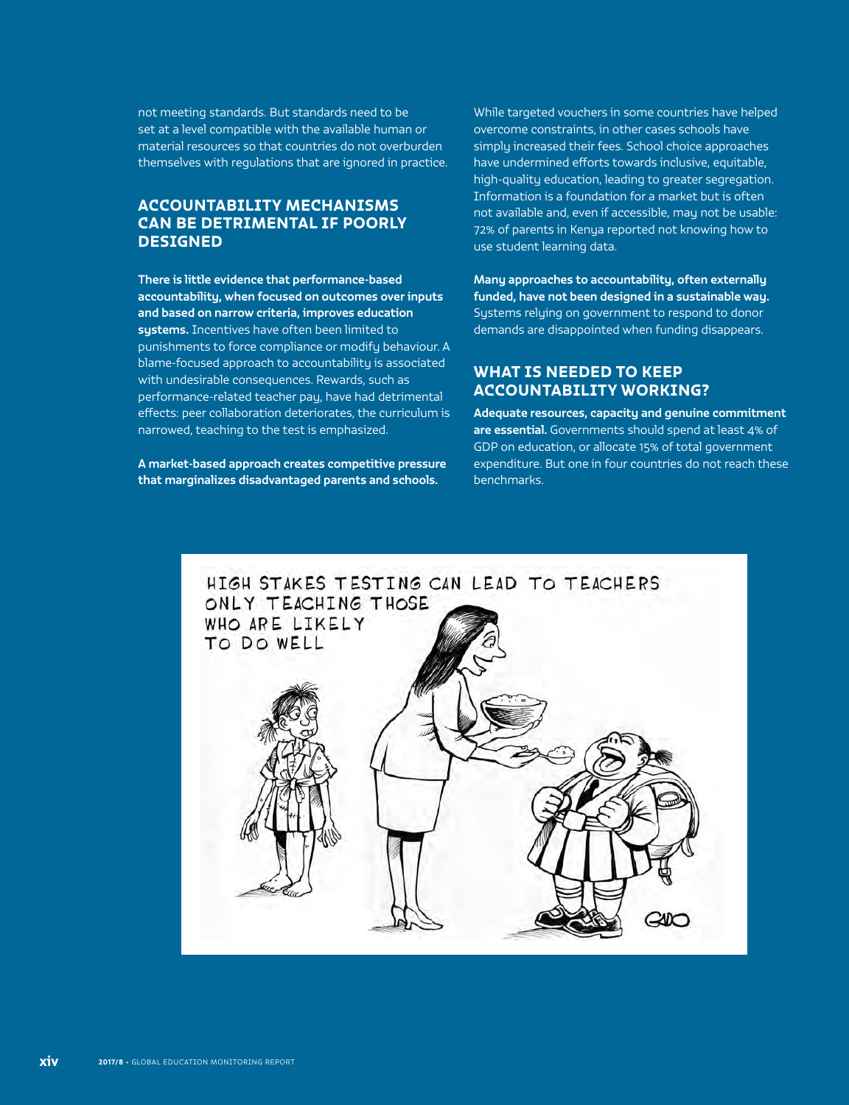not meeting standards. But standards need to be set at a level compatible with the available human or material resources so that countries do not overburden themselves with regulations that are ignored in practice.

# ACCOUNTABILITY MECHANISMS CAN BE DETRIMENTAL IF POORLY DESIGNED

There is little evidence that performance-based accountability, when focused on outcomes over inputs and based on narrow criteria, improves education systems. Incentives have often been limited to punishments to force compliance or modify behaviour. A blame-focused approach to accountability is associated with undesirable consequences. Rewards, such as performance-related teacher pay, have had detrimental effects: peer collaboration deteriorates, the curriculum is narrowed, teaching to the test is emphasized.

A market-based approach creates competitive pressure that marginalizes disadvantaged parents and schools.

While targeted vouchers in some countries have helped overcome constraints, in other cases schools have simply increased their fees. School choice approaches have undermined efforts towards inclusive, equitable, high-quality education, leading to greater segregation. Information is a foundation for a market but is often not available and, even if accessible, may not be usable: 72% of parents in Kenya reported not knowing how to use student learning data.

Many approaches to accountability, often externally funded, have not been designed in a sustainable way. Systems relying on government to respond to donor demands are disappointed when funding disappears.

## WHAT IS NEEDED TO KEEP ACCOUNTABILITY WORKING?

Adequate resources, capacity and genuine commitment are essential. Governments should spend at least 4% of GDP on education, or allocate 15% of total government expenditure. But one in four countries do not reach these benchmarks.

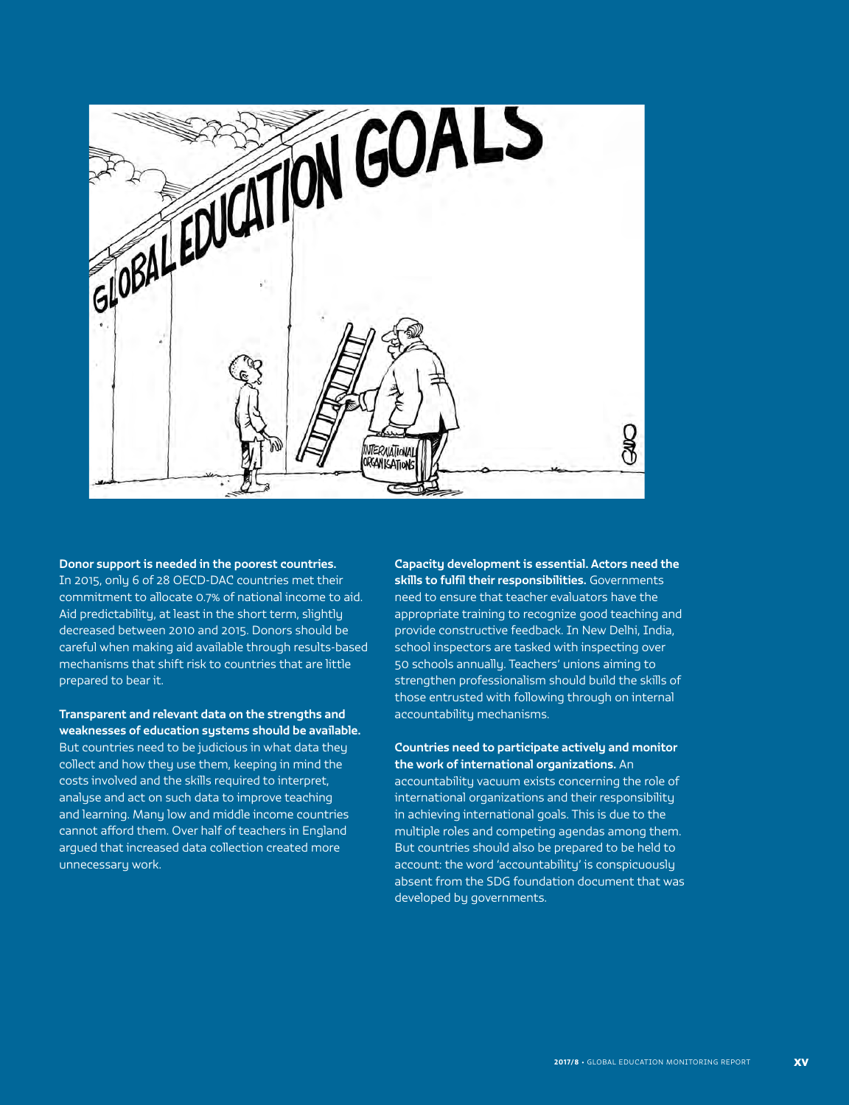

#### Donor support is needed in the poorest countries.

In 2015, only 6 of 28 OECD-DAC countries met their commitment to allocate 0.7% of national income to aid. Aid predictability, at least in the short term, slightly decreased between 2010 and 2015. Donors should be careful when making aid available through results-based mechanisms that shift risk to countries that are little prepared to bear it.

#### Transparent and relevant data on the strengths and weaknesses of education systems should be available. But countries need to be judicious in what data they collect and how they use them, keeping in mind the

costs involved and the skills required to interpret, analyse and act on such data to improve teaching and learning. Many low and middle income countries cannot afford them. Over half of teachers in England argued that increased data collection created more unnecessary work.

Capacity development is essential. Actors need the skills to fulfil their responsibilities. Governments need to ensure that teacher evaluators have the appropriate training to recognize good teaching and provide constructive feedback. In New Delhi, India, school inspectors are tasked with inspecting over 50 schools annually. Teachers' unions aiming to strengthen professionalism should build the skills of those entrusted with following through on internal accountability mechanisms.

#### Countries need to participate actively and monitor the work of international organizations. An

accountability vacuum exists concerning the role of international organizations and their responsibility in achieving international goals. This is due to the multiple roles and competing agendas among them. But countries should also be prepared to be held to account: the word 'accountability' is conspicuously absent from the SDG foundation document that was developed by governments.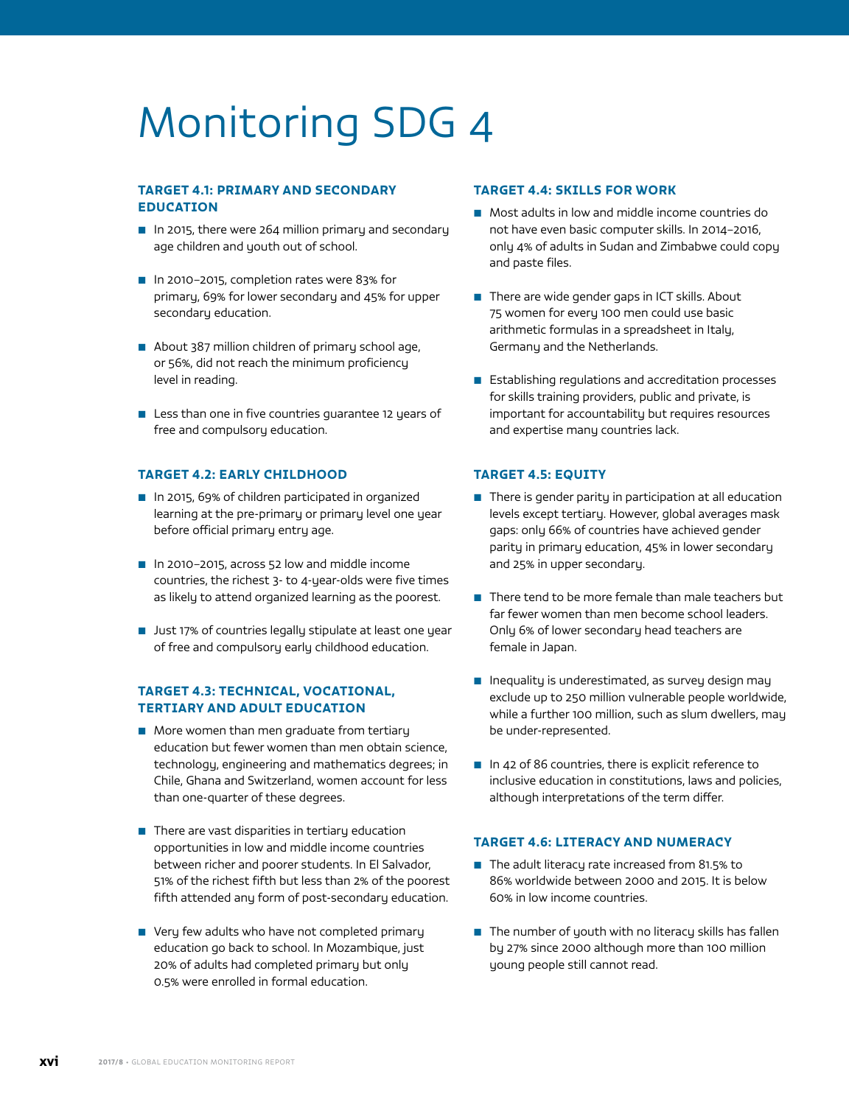# Monitoring SDG 4

### TARGET 4.1: PRIMARY AND SECONDARY EDUCATION

- In 2015, there were 264 million primary and secondary age children and youth out of school.
- In 2010-2015, completion rates were 83% for primary, 69% for lower secondary and 45% for upper secondary education.
- About 387 million children of primary school age, or 56%, did not reach the minimum proficiency level in reading.
- Less than one in five countries quarantee 12 years of free and compulsory education.

#### TARGET 4.2: EARLY CHILDHOOD

- In 2015, 69% of children participated in organized learning at the pre-primary or primary level one year before official primary entry age.
- In 2010–2015, across 52 low and middle income countries, the richest 3- to 4-year-olds were five times as likely to attend organized learning as the poorest.
- Just 17% of countries legally stipulate at least one year of free and compulsory early childhood education.

#### TARGET 4.3: TECHNICAL, VOCATIONAL, TERTIARY AND ADULT EDUCATION

- More women than men graduate from tertiary education but fewer women than men obtain science, technology, engineering and mathematics degrees; in Chile, Ghana and Switzerland, women account for less than one-quarter of these degrees.
- There are vast disparities in tertiary education opportunities in low and middle income countries between richer and poorer students. In El Salvador, 51% of the richest fifth but less than 2% of the poorest fifth attended any form of post-secondary education.
- Very few adults who have not completed primary education go back to school. In Mozambique, just 20% of adults had completed primary but only 0.5% were enrolled in formal education.

#### TARGET 4.4: SKILLS FOR WORK

- Most adults in low and middle income countries do not have even basic computer skills. In 2014–2016, only 4% of adults in Sudan and Zimbabwe could copy and paste files.
- There are wide gender gaps in ICT skills. About 75 women for every 100 men could use basic arithmetic formulas in a spreadsheet in Italy, Germany and the Netherlands.
- Establishing regulations and accreditation processes for skills training providers, public and private, is important for accountability but requires resources and expertise many countries lack.

#### TARGET 4.5: EQUITY

- There is gender parity in participation at all education levels except tertiary. However, global averages mask gaps: only 66% of countries have achieved gender parity in primary education, 45% in lower secondary and 25% in upper secondary.
- There tend to be more female than male teachers but far fewer women than men become school leaders. Only 6% of lower secondary head teachers are female in Japan.
- Inequality is underestimated, as survey design may exclude up to 250 million vulnerable people worldwide, while a further 100 million, such as slum dwellers, may be under-represented.
- In 42 of 86 countries, there is explicit reference to inclusive education in constitutions, laws and policies, although interpretations of the term differ.

#### TARGET 4.6: LITERACY AND NUMERACY

- The adult literacy rate increased from 81.5% to 86% worldwide between 2000 and 2015. It is below 60% in low income countries.
- The number of youth with no literacy skills has fallen by 27% since 2000 although more than 100 million young people still cannot read.